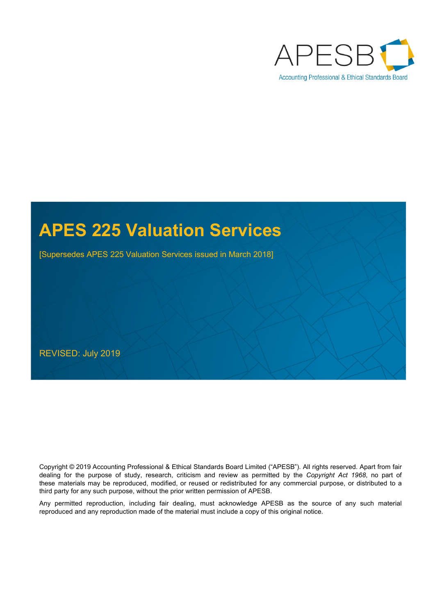

# **APES 225 Valuation Services**

[Supersedes APES 225 Valuation Services issued in March 2018]

REVISED: July 2019

Copyright © 2019 Accounting [Professional & Ethical Standards Board Limited \("APESB"\).](https://www.apesb.org.au/page.php?act=copyright) All rights reserved. Apart from fair dealing for the purpose of study, research, criticism and review as permitted by the *[Copyright Act 1968](https://www.legislation.gov.au/latest/C2019C00042)*, no part of these materials may be reproduced, modified, or reused or redistributed for any commercial purpose, or distributed to a third party for any such purpose, without the prior written permission of APESB.

Any permitted reproduction, including fair dealing, must acknowledge APESB as the source of any such material reproduced and any reproduction made of the material must include a copy of this original notice.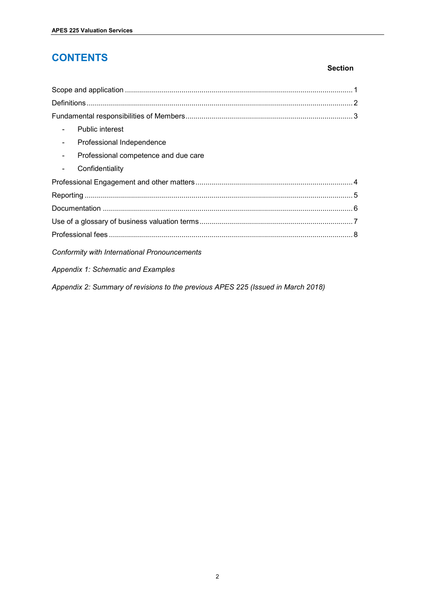# **CONTENTS**

#### **Section**

| <b>Public interest</b>                                                           |  |  |  |
|----------------------------------------------------------------------------------|--|--|--|
| Professional Independence                                                        |  |  |  |
| Professional competence and due care                                             |  |  |  |
| Confidentiality                                                                  |  |  |  |
|                                                                                  |  |  |  |
|                                                                                  |  |  |  |
|                                                                                  |  |  |  |
|                                                                                  |  |  |  |
|                                                                                  |  |  |  |
| Conformity with International Pronouncements                                     |  |  |  |
| Appendix 1: Schematic and Examples                                               |  |  |  |
| Appendix 2: Summary of revisions to the previous APES 225 (Issued in March 2018) |  |  |  |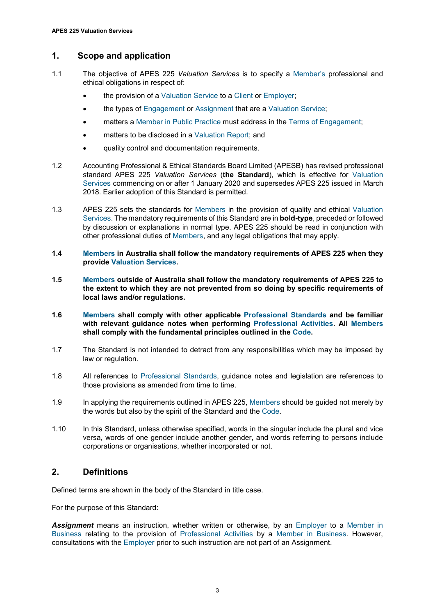# <span id="page-2-0"></span>**1. Scope and application**

- 1.1 The objective of APES 225 *Valuation Services* is to specify a Member's professional and ethical obligations in respect of:
	- the provision of a Valuation Service to a Client or Employer:
	- the types of Engagement or Assignment that are a Valuation Service;
	- matters a Member in Public Practice must address in the Terms of Engagement;
	- matters to be disclosed in a Valuation Report; and
	- quality control and documentation requirements.
- 1.2 [Accounting Professional & Ethical Standards Board Limited \(APESB\)](https://www.apesb.org.au/) has revised professional standard APES 225 *Valuation Services* (**the Standard**), which is effective for Valuation Services commencing on or after 1 January 2020 and supersedes APES 225 issued in March 2018. Earlier adoption of this Standard is permitted.
- 1.3 APES 225 sets the standards for Members in the provision of quality and ethical Valuation Services. The mandatory requirements of this Standard are in **bold-type**, preceded or followed by discussion or explanations in normal type. APES 225 should be read in conjunction with other professional duties of Members, and any legal obligations that may apply.
- **1.4 Members in Australia shall follow the mandatory requirements of APES 225 when they provide Valuation Services.**
- **1.5 Members outside of Australia shall follow the mandatory requirements of APES 225 to the extent to which they are not prevented from so doing by specific requirements of local laws and/or regulations.**
- **1.6 Members shall comply with other applicable Professional Standards and be familiar with relevant guidance notes when performing Professional Activities. All Members shall comply with the fundamental principles outlined in the Code.**
- 1.7 The Standard is not intended to detract from any responsibilities which may be imposed by law or regulation.
- 1.8 All references to Professional Standards, guidance notes and legislation are references to those provisions as amended from time to time.
- 1.9 In applying the requirements outlined in APES 225, Members should be guided not merely by the words but also by the spirit of the Standard and the Code.
- 1.10 In this Standard, unless otherwise specified, words in the singular include the plural and vice versa, words of one gender include another gender, and words referring to persons include corporations or organisations, whether incorporated or not.

# <span id="page-2-1"></span>**2. Definitions**

Defined terms are shown in the body of the Standard in title case.

For the purpose of this Standard:

*Assignment* means an instruction, whether written or otherwise, by an Employer to a Member in Business relating to the provision of Professional Activities by a Member in Business. However, consultations with the Employer prior to such instruction are not part of an Assignment.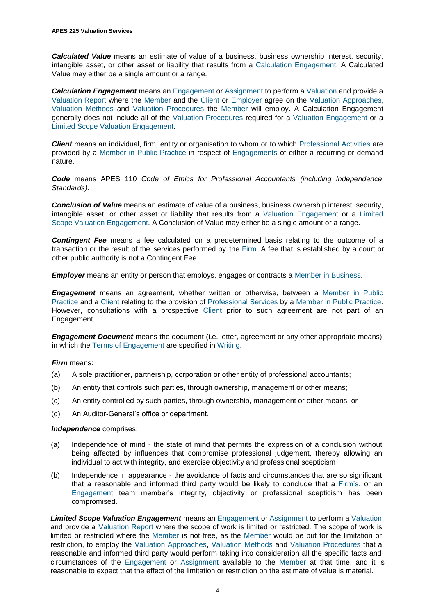*Calculated Value* means an estimate of value of a business, business ownership interest, security, intangible asset, or other asset or liability that results from a Calculation Engagement. A Calculated Value may either be a single amount or a range.

*Calculation Engagement* means an Engagement or Assignment to perform a Valuation and provide a Valuation Report where the Member and the Client or Employer agree on the Valuation Approaches, Valuation Methods and Valuation Procedures the Member will employ. A Calculation Engagement generally does not include all of the Valuation Procedures required for a Valuation Engagement or a Limited Scope Valuation Engagement.

*Client* means an individual, firm, entity or organisation to whom or to which Professional Activities are provided by a Member in Public Practice in respect of Engagements of either a recurring or demand nature.

*Code* means APES 110 *[Code of Ethics for Professional Accountants \(including Independence](https://apesb.org.au/page.php?id=12) [Standards\)](https://apesb.org.au/page.php?id=12)*.

*Conclusion of Value* means an estimate of value of a business, business ownership interest, security, intangible asset, or other asset or liability that results from a Valuation Engagement or a Limited Scope Valuation Engagement. A Conclusion of Value may either be a single amount or a range.

*Contingent Fee* means a fee calculated on a predetermined basis relating to the outcome of a transaction or the result of the services performed by the Firm. A fee that is established by a court or other public authority is not a Contingent Fee.

**Employer** means an entity or person that employs, engages or contracts a Member in Business.

*Engagement* means an agreement, whether written or otherwise, between a Member in Public Practice and a Client relating to the provision of Professional Services by a Member in Public Practice. However, consultations with a prospective Client prior to such agreement are not part of an Engagement.

*Engagement Document* means the document (i.e. letter, agreement or any other appropriate means) in which the Terms of Engagement are specified in Writing.

#### *Firm* means:

- (a) A sole practitioner, partnership, corporation or other entity of professional accountants;
- (b) An entity that controls such parties, through ownership, management or other means;
- (c) An entity controlled by such parties, through ownership, management or other means; or
- (d) An Auditor-General's office or department.

#### *Independence* comprises:

- (a) Independence of mind the state of mind that permits the expression of a conclusion without being affected by influences that compromise professional judgement, thereby allowing an individual to act with integrity, and exercise objectivity and professional scepticism.
- (b) Independence in appearance the avoidance of facts and circumstances that are so significant that a reasonable and informed third party would be likely to conclude that a Firm's, or an Engagement team member's integrity, objectivity or professional scepticism has been compromised.

*Limited Scope Valuation Engagement* means an Engagement or Assignment to perform a Valuation and provide a Valuation Report where the scope of work is limited or restricted. The scope of work is limited or restricted where the Member is not free, as the Member would be but for the limitation or restriction, to employ the Valuation Approaches, Valuation Methods and Valuation Procedures that a reasonable and informed third party would perform taking into consideration all the specific facts and circumstances of the Engagement or Assignment available to the Member at that time, and it is reasonable to expect that the effect of the limitation or restriction on the estimate of value is material.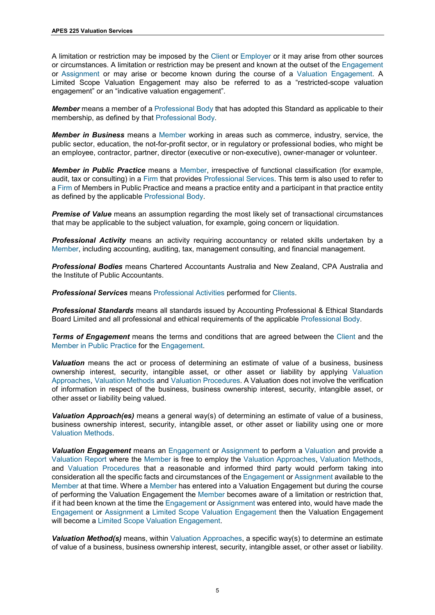A limitation or restriction may be imposed by the Client or Employer or it may arise from other sources or circumstances. A limitation or restriction may be present and known at the outset of the Engagement or Assignment or may arise or become known during the course of a Valuation Engagement. A Limited Scope Valuation Engagement may also be referred to as a "restricted-scope valuation engagement" or an "indicative valuation engagement".

*Member* means a member of a Professional Body that has adopted this Standard as applicable to their membership, as defined by that Professional Body.

*Member in Business* means a Member working in areas such as commerce, industry, service, the public sector, education, the not-for-profit sector, or in regulatory or professional bodies, who might be an employee, contractor, partner, director (executive or non-executive), owner-manager or volunteer.

*Member in Public Practice* means a Member, irrespective of functional classification (for example, audit, tax or consulting) in a Firm that provides Professional Services. This term is also used to refer to a Firm of Members in Public Practice and means a practice entity and a participant in that practice entity as defined by the applicable Professional Body.

**Premise of Value** means an assumption regarding the most likely set of transactional circumstances that may be applicable to the subject valuation, for example, going concern or liquidation.

*Professional Activity* means an activity requiring accountancy or related skills undertaken by a Member, including accounting, auditing, tax, management consulting, and financial management.

*Professional Bodies* means [Chartered Accountants](https://www.charteredaccountantsanz.com/) Australia and New Zealand, [CPA Australia](https://www.cpaaustralia.com.au/) and the [Institute of Public Accountants.](https://www.publicaccountants.org.au/)

*Professional Services* means Professional Activities performed for Clients.

*Professional Standards* means all standards issued by [Accounting Professional &](https://www.apesb.org.au/) Ethical Standards [Board Limited](https://apesb.org.au/page.php?id=12) and all professional and ethical requirements of the applicable Professional Body.

*Terms of Engagement* means the terms and conditions that are agreed between the Client and the Member in Public Practice for the Engagement.

*Valuation* means the act or process of determining an estimate of value of a business, business ownership interest, security, intangible asset, or other asset or liability by applying Valuation Approaches, Valuation Methods and Valuation Procedures. A Valuation does not involve the verification of information in respect of the business, business ownership interest, security, intangible asset, or other asset or liability being valued.

*Valuation Approach(es)* means a general way(s) of determining an estimate of value of a business, business ownership interest, security, intangible asset, or other asset or liability using one or more Valuation Methods.

*Valuation Engagement* means an Engagement or Assignment to perform a Valuation and provide a Valuation Report where the Member is free to employ the Valuation Approaches, Valuation Methods, and Valuation Procedures that a reasonable and informed third party would perform taking into consideration all the specific facts and circumstances of the Engagement or Assignment available to the Member at that time. Where a Member has entered into a Valuation Engagement but during the course of performing the Valuation Engagement the Member becomes aware of a limitation or restriction that, if it had been known at the time the Engagement or Assignment was entered into, would have made the Engagement or Assignment a Limited Scope Valuation Engagement then the Valuation Engagement will become a Limited Scope Valuation Engagement.

*Valuation Method(s)* means, within Valuation Approaches, a specific way(s) to determine an estimate of value of a business, business ownership interest, security, intangible asset, or other asset or liability.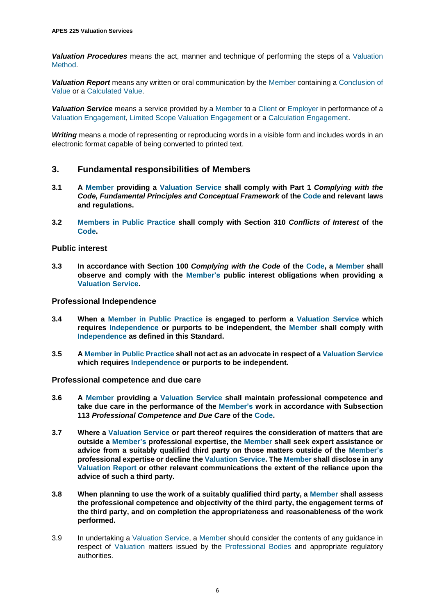<span id="page-5-1"></span>*Valuation Procedures* means the act, manner and technique of performing the steps of a Valuation Method.

*Valuation Report* means any written or oral communication by the Member containing a Conclusion of Value or a Calculated Value.

*Valuation Service* means a service provided by a Member to a Client or Employer in performance of a Valuation Engagement, Limited Scope Valuation Engagement or a Calculation Engagement.

*Writing* means a mode of representing or reproducing words in a visible form and includes words in an electronic format capable of being converted to printed text.

## <span id="page-5-0"></span>**3. Fundamental responsibilities of Members**

- **3.1 A Member providing a Valuation Service shall comply with Part 1** *[Complying with the](https://apesb.org.au/page.php?id=12) [Code, Fundamental Principles](https://apesb.org.au/page.php?id=12) and Conceptual Framework* **of the Code and relevant laws and regulations.**
- **3.2 Members in Public Practice shall comply with [Section 310](https://apesb.org.au/page.php?id=12)** *Conflicts of Interest* **of the Code.**

#### **Public interest**

**3.3 In accordance with Section 100** *[Complying with the Code](https://apesb.org.au/page.php?id=12)* **of the Code, a Member shall observe and comply with the Member's public interest obligations when providing a Valuation Service.**

#### **Professional Independence**

- **3.4 When a Member in Public Practice is engaged to perform a Valuation Service which requires Independence or purports to be independent, the Member shall comply with Independence as defined in this Standard.**
- **3.5 A Member in Public Practice shall not act as an advocate in respect of a Valuation Service which requires Independence or purports to be independent.**

#### **Professional competence and due care**

- **3.6 A Member providing a Valuation Service shall maintain professional competence and take due care in the performance of the Member's work in accordance with [Subsection](https://apesb.org.au/page.php?id=12) 113** *[Professional Competence and Due Care](https://apesb.org.au/page.php?id=12)* **of the Code.**
- **3.7 Where a Valuation Service or part thereof requires the consideration of matters that are outside a Member's professional expertise, the Member shall seek expert assistance or advice from a suitably qualified third party on those matters outside of the Member's professional expertise or decline the Valuation Service. The Member shall disclose in any Valuation Report or other relevant communications the extent of the reliance upon the advice of such a third party.**
- **3.8 When planning to use the work of a suitably qualified third party, a Member shall assess the professional competence and objectivity of the third party, the engagement terms of the third party, and on completion the appropriateness and reasonableness of the work performed.**
- 3.9 In undertaking a Valuation Service, a Member should consider the contents of any guidance in respect of Valuation matters issued by the Professional Bodies and appropriate regulatory authorities.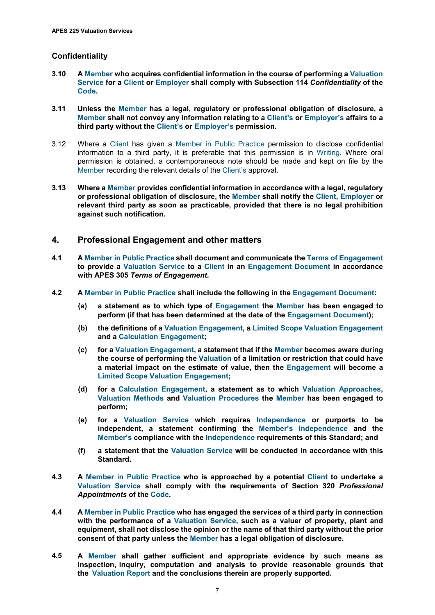#### <span id="page-6-1"></span>**Confidentiality**

- **3.10 A Member who acquires confidential information in the course of performing a Valuation Service for a Client or Employer shall comply with [Subsection 114](https://apesb.org.au/page.php?id=12)** *Confidentiality* **of the Code.**
- <span id="page-6-2"></span>**3.11 Unless the Member has a legal, regulatory or professional obligation of disclosure, a Member shall not convey any information relating to a Client's or Employer's affairs to a third party without the Client's or Employer's permission.**
- 3.12 Where a Client has given a Member in Public Practice permission to disclose confidential information to a third party, it is preferable that this permission is in Writing. Where oral permission is obtained, a contemporaneous note should be made and kept on file by the Member recording the relevant details of the Client's approval.
- **3.13 Where a Member provides confidential information in accordance with a legal, regulatory or professional obligation of disclosure, the Member shall notify the Client, Employer or relevant third party as soon as practicable, provided that there is no legal prohibition against such notification.**

## <span id="page-6-0"></span>**4. Professional Engagement and other matters**

- **4.1 A Member in Public Practice shall document and communicate the Terms of Engagement to provide a Valuation Service to a Client in an Engagement Document in accordance with APES 305** *[Terms of Engagement](https://apesb.org.au/page.php?id=12)***.**
- **4.2 A Member in Public Practice shall include the following in the Engagement Document:**
	- **(a) a statement as to which type of Engagement the Member has been engaged to perform (if that has been determined at the date of the Engagement Document);**
	- **(b) the definitions of a Valuation Engagement, a Limited Scope Valuation Engagement and a Calculation Engagement;**
	- **(c) for a Valuation Engagement, a statement that if the Member becomes aware during the course of performing the Valuation of a limitation or restriction that could have a material impact on the estimate of value, then the Engagement will become a Limited Scope Valuation Engagement;**
	- **(d) for a Calculation Engagement, a statement as to which Valuation Approaches, Valuation Methods and Valuation Procedures the Member has been engaged to perform;**
	- **(e) for a Valuation Service which requires Independence or purports to be independent, a statement confirming the Member's Independence and the Member's compliance with the Independence requirements of this Standard; and**
	- **(f) a statement that the Valuation Service will be conducted in accordance with this Standard.**
- **4.3 A Member in Public Practice who is approached by a potential Client to undertake a Valuation Service shall comply with the requirements of Section 320** *[Professional](https://apesb.org.au/page.php?id=12) [Appointments](https://apesb.org.au/page.php?id=12)* **of the Code.**
- **4.4 A Member in Public Practice who has engaged the services of a third party in connection with the performance of a Valuation Service, such as a valuer of property, plant and equipment, shall not disclose the opinion or the name of that third party without the prior consent of that party unless the Member has a legal obligation of disclosure.**
- **4.5 A Member shall gather sufficient and appropriate evidence by such means as inspection, inquiry, computation and analysis to provide reasonable grounds that the Valuation Report and the conclusions therein are properly supported.**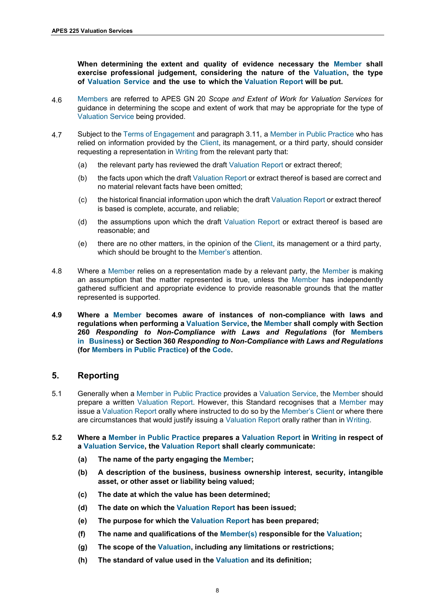<span id="page-7-3"></span>**When determining the extent and quality of evidence necessary the Member shall exercise professional judgement, considering the nature of the Valuation, the type of Valuation Service and the use to which the Valuation Report will be put.** 

- 4.6 Members are referred to APES GN 20 *[Scope and Extent of Work for Valuation Services](https://apesb.org.au/page.php?id=13)* for guidance in determining the scope and extent of work that may be appropriate for the type of Valuation Service being provided.
- 4.7 Subject to the Terms of Engagement an[d paragraph 3.11,](#page-6-2) a Member in Public Practice who has relied on information provided by the Client, its management, or a third party, should consider requesting a representation in Writing from the relevant party that:
	- (a) the relevant party has reviewed the draft Valuation Report or extract thereof;
	- (b) the facts upon which the draft Valuation Report or extract thereof is based are correct and no material relevant facts have been omitted;
	- (c) the historical financial information upon which the draft Valuation Report or extract thereof is based is complete, accurate, and reliable;
	- (d) the assumptions upon which the draft Valuation Report or extract thereof is based are reasonable; and
	- (e) there are no other matters, in the opinion of the Client, its management or a third party, which should be brought to the Member's attention.
- 4.8 Where a Member relies on a representation made by a relevant party, the Member is making an assumption that the matter represented is true, unless the Member has independently gathered sufficient and appropriate evidence to provide reasonable grounds that the matter represented is supported.
- **4.9 Where a Member becomes aware of instances of non-compliance with laws and regulations when performing a Valuation Service, the Member shall comply with [Section](https://apesb.org.au/page.php?id=12)  260** *[Responding to Non-Compliance with Laws and Regulations](https://apesb.org.au/page.php?id=12)* **(for Members in Business) or Section 360** *[Responding to Non-Compliance with Laws and Regulations](https://apesb.org.au/page.php?id=12)*  **(for Members in Public Practice) of the Code.**

# <span id="page-7-0"></span>**5. Reporting**

- <span id="page-7-2"></span>5.1 Generally when a Member in Public Practice provides a Valuation Service, the Member should prepare a written Valuation Report. However, this Standard recognises that a Member may issue a Valuation Report orally where instructed to do so by the Member's Client or where there are circumstances that would justify issuing a Valuation Report orally rather than in Writing.
- <span id="page-7-1"></span>**5.2 Where a Member in Public Practice prepares a Valuation Report in Writing in respect of a Valuation Service, the Valuation Report shall clearly communicate:**
	- **(a) The name of the party engaging the Member;**
	- **(b) A description of the business, business ownership interest, security, intangible asset, or other asset or liability being valued;**
	- **(c) The date at which the value has been determined;**
	- **(d) The date on which the Valuation Report has been issued;**
	- **(e) The purpose for which the Valuation Report has been prepared;**
	- **(f) The name and qualifications of the Member(s) responsible for the Valuation;**
	- **(g) The scope of the Valuation, including any limitations or restrictions;**
	- **(h) The standard of value used in the Valuation and its definition;**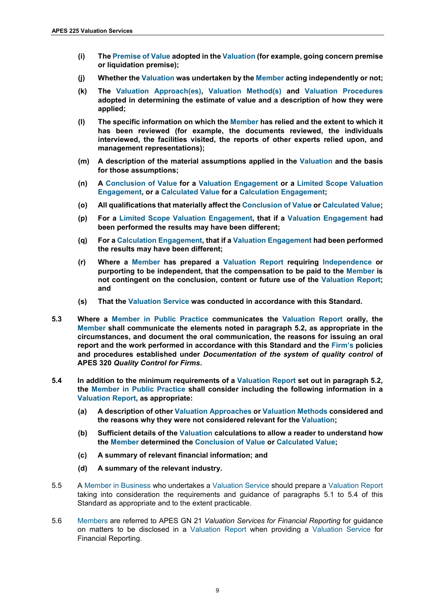- **(i) The Premise of Value adopted in the Valuation (for example, going concern premise or liquidation premise);**
- **(j) Whether the Valuation was undertaken by the Member acting independently or not;**
- **(k) The Valuation Approach(es), Valuation Method(s) and Valuation Procedures adopted in determining the estimate of value and a description of how they were applied;**
- **(l) The specific information on which the Member has relied and the extent to which it has been reviewed (for example, the documents reviewed, the individuals interviewed, the facilities visited, the reports of other experts relied upon, and management representations);**
- **(m) A description of the material assumptions applied in the Valuation and the basis for those assumptions;**
- **(n) A Conclusion of Value for a Valuation Engagement or a Limited Scope Valuation Engagement, or a Calculated Value for a Calculation Engagement;**
- **(o) All qualifications that materially affect the Conclusion of Value or Calculated Value;**
- **(p) For a Limited Scope Valuation Engagement, that if a Valuation Engagement had been performed the results may have been different;**
- **(q) For a Calculation Engagement, that if a Valuation Engagement had been performed the results may have been different;**
- **(r) Where a Member has prepared a Valuation Report requiring Independence or purporting to be independent, that the compensation to be paid to the Member is not contingent on the conclusion, content or future use of the Valuation Report; and**
- **(s) That the Valuation Service was conducted in accordance with this Standard.**
- **5.3 Where a Member in Public Practice communicates the Valuation Report orally, the Member shall communicate the elements noted in [paragraph 5.2](#page-7-3), as appropriate in the circumstances, and document the oral communication, the reasons for issuing an oral report and the work performed in accordance with this Standard and the Firm's policies and procedures established under** *[Documentation of the system of quality control](https://apesb.org.au/page.php?id=12)* **of APES 320** *[Quality Control for Firms](https://apesb.org.au/page.php?id=12)***.**
- <span id="page-8-0"></span>**5.4 In addition to the minimum requirements of a Valuation Report set out in [paragraph 5.2,](#page-7-1) the Member in Public Practice shall consider including the following information in a Valuation Report, as appropriate:**
	- **(a) A description of other Valuation Approaches or Valuation Methods considered and the reasons why they were not considered relevant for the Valuation;**
	- **(b) Sufficient details of the Valuation calculations to allow a reader to understand how the Member determined the Conclusion of Value or Calculated Value;**
	- **(c) A summary of relevant financial information; and**
	- **(d) A summary of the relevant industry.**
- 5.5 A Member in Business who undertakes a Valuation Service should prepare a Valuation Report taking into consideration the requirements and guidance of paragraph[s 5.1](#page-7-2) to [5.4](#page-8-0) of this Standard as appropriate and to the extent practicable.
- 5.6 Members are referred to APES GN 21 *Valuation Services [for Financial Reporting](https://apesb.org.au/page.php?id=13)* for guidance on matters to be disclosed in a Valuation Report when providing a Valuation Service for Financial Reporting.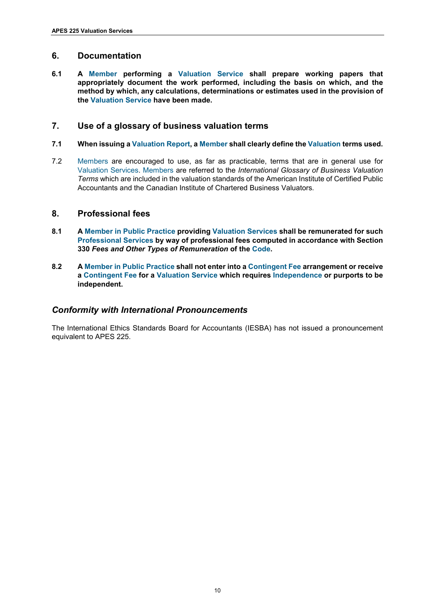# <span id="page-9-0"></span>**6. Documentation**

**6.1 A Member performing a Valuation Service shall prepare working papers that appropriately document the work performed, including the basis on which, and the method by which, any calculations, determinations or estimates used in the provision of the Valuation Service have been made.**

# <span id="page-9-1"></span>**7. Use of a glossary of business valuation terms**

- **7.1 When issuing a Valuation Report, a Member shall clearly define the Valuation terms used.**
- 7.2 Members are encouraged to use, as far as practicable, terms that are in general use for Valuation Services. Members are referred to the *International Glossary of Business Valuation [Terms](https://www.aicpa.org/)* which are included in the valuation standards of the [American Institute of Certified Public](https://www.aicpa.org/)  [Accountants](https://www.aicpa.org/) and the [Canadian Institute of Chartered Business Valuators](https://cicbv.ca/)*.*

# <span id="page-9-2"></span>**8. Professional fees**

- **8.1 A Member in Public Practice providing Valuation Services shall be remunerated for such Professional Services by way of professional fees computed in accordance with [Section](https://apesb.org.au/page.php?id=12) 330** *[Fees and Other Types of Remuneration](https://apesb.org.au/page.php?id=12)* **of the Code.**
- **8.2 A Member in Public Practice shall not enter into a Contingent Fee arrangement or receive a Contingent Fee for a Valuation Service which requires Independence or purports to be independent.**

# <span id="page-9-3"></span>*Conformity with International Pronouncements*

The [International Ethics Standards Board for Accountants \(IESBA\)](https://www.ethicsboard.org/) has not issued a pronouncement equivalent to APES 225.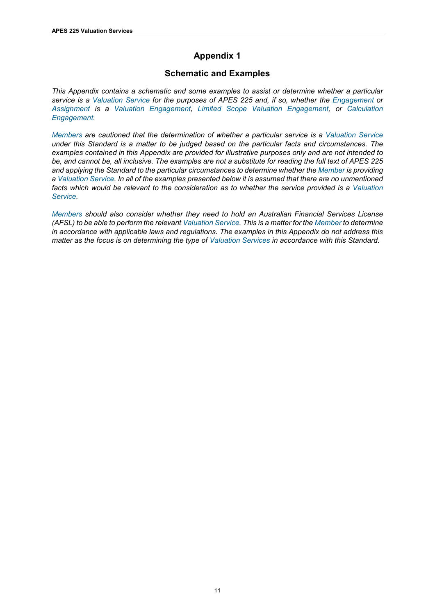# **Appendix 1**

# **Schematic and Examples**

<span id="page-10-0"></span>*This Appendix contains a schematic and some examples to assist or determine whether a particular service is a Valuation Service for the purposes of APES 225 and, if so, whether the Engagement or Assignment is a Valuation Engagement, Limited Scope Valuation Engagement, or Calculation Engagement.* 

*Members are cautioned that the determination of whether a particular service is a Valuation Service under this Standard is a matter to be judged based on the particular facts and circumstances. The examples contained in this Appendix are provided for illustrative purposes only and are not intended to be, and cannot be, all inclusive. The examples are not a substitute for reading the full text of APES 225 and applying the Standard to the particular circumstances to determine whether the Member is providing a Valuation Service. In all of the examples presented below it is assumed that there are no unmentioned facts which would be relevant to the consideration as to whether the service provided is a Valuation Service.* 

*Members should also consider whether they need to hold an Australian Financial Services License (AFSL) to be able to perform the relevant Valuation Service. This is a matter for the Member to determine in accordance with applicable laws and regulations. The examples in this Appendix do not address this matter as the focus is on determining the type of Valuation Services in accordance with this Standard.*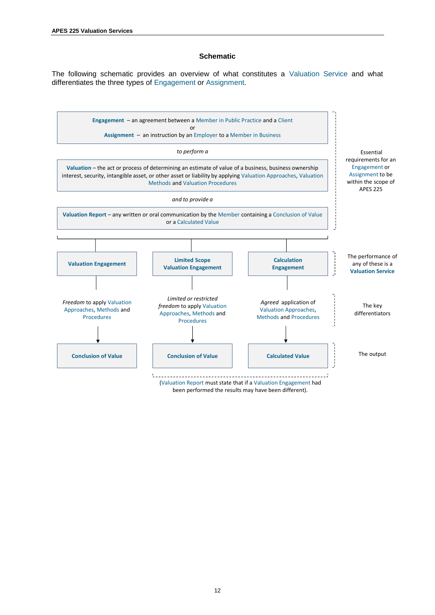#### **Schematic**

The following schematic provides an overview of what constitutes a Valuation Service and what differentiates the three types of Engagement or Assignment.



12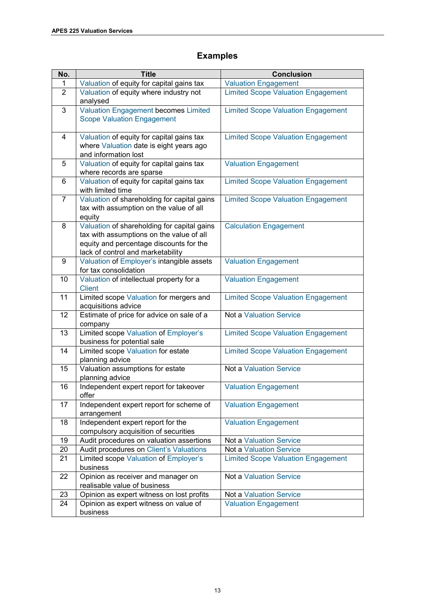# **Examples**

| No.            | <b>Title</b>                                                                                                                                                            | <b>Conclusion</b>                         |
|----------------|-------------------------------------------------------------------------------------------------------------------------------------------------------------------------|-------------------------------------------|
| 1              | Valuation of equity for capital gains tax                                                                                                                               | <b>Valuation Engagement</b>               |
| 2              | Valuation of equity where industry not<br>analysed                                                                                                                      | <b>Limited Scope Valuation Engagement</b> |
| 3              | <b>Valuation Engagement becomes Limited</b><br><b>Scope Valuation Engagement</b>                                                                                        | <b>Limited Scope Valuation Engagement</b> |
| 4              | Valuation of equity for capital gains tax<br>where Valuation date is eight years ago<br>and information lost                                                            | <b>Limited Scope Valuation Engagement</b> |
| 5              | Valuation of equity for capital gains tax<br>where records are sparse                                                                                                   | <b>Valuation Engagement</b>               |
| 6              | Valuation of equity for capital gains tax<br>with limited time                                                                                                          | <b>Limited Scope Valuation Engagement</b> |
| $\overline{7}$ | Valuation of shareholding for capital gains<br>tax with assumption on the value of all<br>equity                                                                        | <b>Limited Scope Valuation Engagement</b> |
| 8              | Valuation of shareholding for capital gains<br>tax with assumptions on the value of all<br>equity and percentage discounts for the<br>lack of control and marketability | <b>Calculation Engagement</b>             |
| 9              | Valuation of Employer's intangible assets<br>for tax consolidation                                                                                                      | <b>Valuation Engagement</b>               |
| 10             | Valuation of intellectual property for a<br><b>Client</b>                                                                                                               | <b>Valuation Engagement</b>               |
| 11             | Limited scope Valuation for mergers and<br>acquisitions advice                                                                                                          | <b>Limited Scope Valuation Engagement</b> |
| 12             | Estimate of price for advice on sale of a<br>company                                                                                                                    | <b>Not a Valuation Service</b>            |
| 13             | Limited scope Valuation of Employer's<br>business for potential sale                                                                                                    | <b>Limited Scope Valuation Engagement</b> |
| 14             | Limited scope Valuation for estate<br>planning advice                                                                                                                   | <b>Limited Scope Valuation Engagement</b> |
| 15             | Valuation assumptions for estate<br>planning advice                                                                                                                     | <b>Not a Valuation Service</b>            |
| 16             | Independent expert report for takeover<br>offer                                                                                                                         | <b>Valuation Engagement</b>               |
| 17             | Independent expert report for scheme of<br>arrangement                                                                                                                  | Valuation Engagement                      |
| 18             | Independent expert report for the<br>compulsory acquisition of securities                                                                                               | <b>Valuation Engagement</b>               |
| 19             | Audit procedures on valuation assertions                                                                                                                                | Not a Valuation Service                   |
| 20             | Audit procedures on Client's Valuations                                                                                                                                 | <b>Not a Valuation Service</b>            |
| 21             | Limited scope Valuation of Employer's<br>business                                                                                                                       | <b>Limited Scope Valuation Engagement</b> |
| 22             | Opinion as receiver and manager on<br>realisable value of business                                                                                                      | <b>Not a Valuation Service</b>            |
| 23             | Opinion as expert witness on lost profits                                                                                                                               | <b>Not a Valuation Service</b>            |
| 24             | Opinion as expert witness on value of                                                                                                                                   | <b>Valuation Engagement</b>               |
|                | business                                                                                                                                                                |                                           |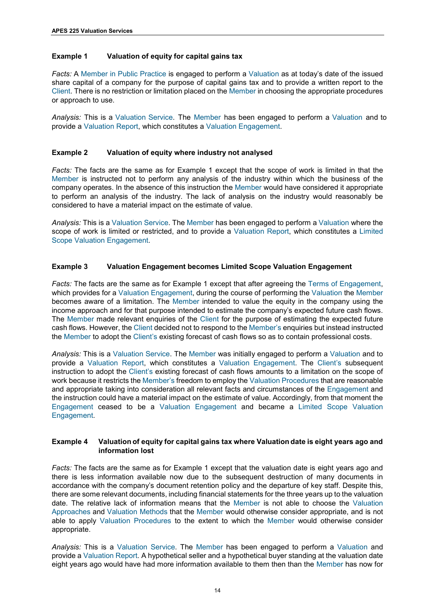#### <span id="page-13-1"></span><span id="page-13-0"></span>**Example 1 Valuation of equity for capital gains tax**

*Facts:* A Member in Public Practice is engaged to perform a Valuation as at today's date of the issued share capital of a company for the purpose of capital gains tax and to provide a written report to the Client. There is no restriction or limitation placed on the Member in choosing the appropriate procedures or approach to use.

*Analysis:* This is a Valuation Service. The Member has been engaged to perform a Valuation and to provide a Valuation Report, which constitutes a Valuation Engagement.

#### **Example 2 Valuation of equity where industry not analysed**

*Facts:* The facts are the same as for [Example 1](#page-13-1) except that the scope of work is limited in that the Member is instructed not to perform any analysis of the industry within which the business of the company operates. In the absence of this instruction the Member would have considered it appropriate to perform an analysis of the industry. The lack of analysis on the industry would reasonably be considered to have a material impact on the estimate of value.

*Analysis:* This is a Valuation Service. The Member has been engaged to perform a Valuation where the scope of work is limited or restricted, and to provide a Valuation Report, which constitutes a Limited Scope Valuation Engagement.

#### **Example 3 Valuation Engagement becomes Limited Scope Valuation Engagement**

*Facts:* The facts are the same as for [Example 1](#page-13-1) except that after agreeing the Terms of Engagement, which provides for a Valuation Engagement, during the course of performing the Valuation the Member becomes aware of a limitation. The Member intended to value the equity in the company using the income approach and for that purpose intended to estimate the company's expected future cash flows. The Member made relevant enquiries of the Client for the purpose of estimating the expected future cash flows. However, the Client decided not to respond to the Member's enquiries but instead instructed the Member to adopt the Client's existing forecast of cash flows so as to contain professional costs.

*Analysis:* This is a Valuation Service. The Member was initially engaged to perform a Valuation and to provide a Valuation Report, which constitutes a Valuation Engagement. The Client's subsequent instruction to adopt the Client's existing forecast of cash flows amounts to a limitation on the scope of work because it restricts the Member's freedom to employ the Valuation Procedures that are reasonable and appropriate taking into consideration all relevant facts and circumstances of the Engagement and the instruction could have a material impact on the estimate of value. Accordingly, from that moment the Engagement ceased to be a Valuation Engagement and became a Limited Scope Valuation Engagement.

#### **Example 4 Valuation of equity for capital gains tax where Valuation date is eight years ago and information lost**

*Facts:* The facts are the same as for [Example 1](#page-13-1) except that the valuation date is eight years ago and there is less information available now due to the subsequent destruction of many documents in accordance with the company's document retention policy and the departure of key staff. Despite this, there are some relevant documents, including financial statements for the three years up to the valuation date. The relative lack of information means that the Member is not able to choose the Valuation Approaches and Valuation Methods that the Member would otherwise consider appropriate, and is not able to apply Valuation Procedures to the extent to which the Member would otherwise consider appropriate.

*Analysis:* This is a Valuation Service. The Member has been engaged to perform a Valuation and provide a Valuation Report. A hypothetical seller and a hypothetical buyer standing at the valuation date eight years ago would have had more information available to them then than the Member has now for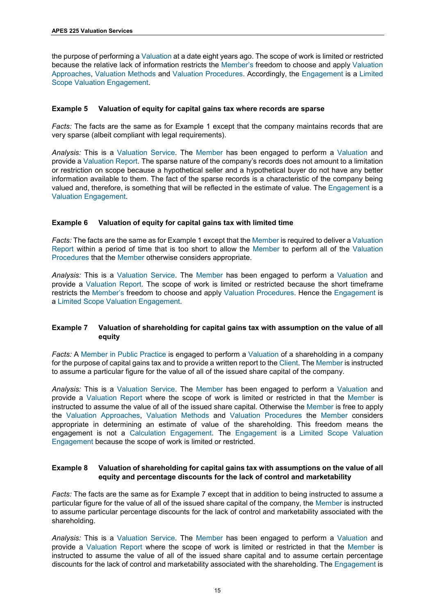<span id="page-14-0"></span>the purpose of performing a Valuation at a date eight years ago. The scope of work is limited or restricted because the relative lack of information restricts the Member's freedom to choose and apply Valuation Approaches, Valuation Methods and Valuation Procedures. Accordingly, the Engagement is a Limited Scope Valuation Engagement.

#### **Example 5 Valuation of equity for capital gains tax where records are sparse**

*Facts:* The facts are the same as for [Example 1](#page-13-1) except that the company maintains records that are very sparse (albeit compliant with legal requirements).

*Analysis:* This is a Valuation Service. The Member has been engaged to perform a Valuation and provide a Valuation Report. The sparse nature of the company's records does not amount to a limitation or restriction on scope because a hypothetical seller and a hypothetical buyer do not have any better information available to them. The fact of the sparse records is a characteristic of the company being valued and, therefore, is something that will be reflected in the estimate of value. The Engagement is a Valuation Engagement.

#### **Example 6 Valuation of equity for capital gains tax with limited time**

*Facts:* The facts are the same as fo[r Example 1](#page-13-1) except that the Member is required to deliver a Valuation Report within a period of time that is too short to allow the Member to perform all of the Valuation Procedures that the Member otherwise considers appropriate.

*Analysis:* This is a Valuation Service. The Member has been engaged to perform a Valuation and provide a Valuation Report. The scope of work is limited or restricted because the short timeframe restricts the Member's freedom to choose and apply Valuation Procedures. Hence the Engagement is a Limited Scope Valuation Engagement.

#### <span id="page-14-1"></span>**Example 7 Valuation of shareholding for capital gains tax with assumption on the value of all equity**

*Facts:* A Member in Public Practice is engaged to perform a Valuation of a shareholding in a company for the purpose of capital gains tax and to provide a written report to the Client. The Member is instructed to assume a particular figure for the value of all of the issued share capital of the company.

*Analysis:* This is a Valuation Service. The Member has been engaged to perform a Valuation and provide a Valuation Report where the scope of work is limited or restricted in that the Member is instructed to assume the value of all of the issued share capital. Otherwise the Member is free to apply the Valuation Approaches, Valuation Methods and Valuation Procedures the Member considers appropriate in determining an estimate of value of the shareholding. This freedom means the engagement is not a Calculation Engagement. The Engagement is a Limited Scope Valuation Engagement because the scope of work is limited or restricted.

#### **Example 8 Valuation of shareholding for capital gains tax with assumptions on the value of all equity and percentage discounts for the lack of control and marketability**

*Facts:* The facts are the same as for [Example 7](#page-14-1) except that in addition to being instructed to assume a particular figure for the value of all of the issued share capital of the company, the Member is instructed to assume particular percentage discounts for the lack of control and marketability associated with the shareholding.

*Analysis:* This is a Valuation Service. The Member has been engaged to perform a Valuation and provide a Valuation Report where the scope of work is limited or restricted in that the Member is instructed to assume the value of all of the issued share capital and to assume certain percentage discounts for the lack of control and marketability associated with the shareholding. The Engagement is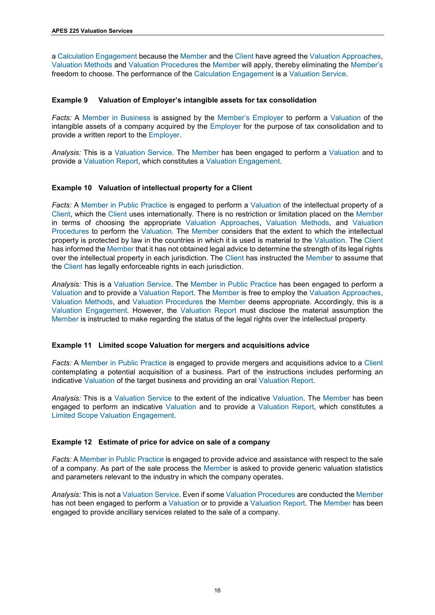<span id="page-15-0"></span>a Calculation Engagement because the Member and the Client have agreed the Valuation Approaches, Valuation Methods and Valuation Procedures the Member will apply, thereby eliminating the Member's freedom to choose. The performance of the Calculation Engagement is a Valuation Service.

#### **Example 9 Valuation of Employer's intangible assets for tax consolidation**

*Facts:* A Member in Business is assigned by the Member's Employer to perform a Valuation of the intangible assets of a company acquired by the Employer for the purpose of tax consolidation and to provide a written report to the Employer.

*Analysis:* This is a Valuation Service. The Member has been engaged to perform a Valuation and to provide a Valuation Report, which constitutes a Valuation Engagement.

#### **Example 10 Valuation of intellectual property for a Client**

*Facts:* A Member in Public Practice is engaged to perform a Valuation of the intellectual property of a Client, which the Client uses internationally. There is no restriction or limitation placed on the Member in terms of choosing the appropriate Valuation Approaches, Valuation Methods, and Valuation Procedures to perform the Valuation. The Member considers that the extent to which the intellectual property is protected by law in the countries in which it is used is material to the Valuation. The Client has informed the Member that it has not obtained legal advice to determine the strength of its legal rights over the intellectual property in each jurisdiction. The Client has instructed the Member to assume that the Client has legally enforceable rights in each jurisdiction.

*Analysis:* This is a Valuation Service. The Member in Public Practice has been engaged to perform a Valuation and to provide a Valuation Report. The Member is free to employ the Valuation Approaches, Valuation Methods, and Valuation Procedures the Member deems appropriate. Accordingly, this is a Valuation Engagement. However, the Valuation Report must disclose the material assumption the Member is instructed to make regarding the status of the legal rights over the intellectual property.

#### **Example 11 Limited scope Valuation for mergers and acquisitions advice**

*Facts:* A Member in Public Practice is engaged to provide mergers and acquisitions advice to a Client contemplating a potential acquisition of a business. Part of the instructions includes performing an indicative Valuation of the target business and providing an oral Valuation Report.

*Analysis:* This is a Valuation Service to the extent of the indicative Valuation. The Member has been engaged to perform an indicative Valuation and to provide a Valuation Report, which constitutes a Limited Scope Valuation Engagement.

#### **Example 12 Estimate of price for advice on sale of a company**

*Facts:* A Member in Public Practice is engaged to provide advice and assistance with respect to the sale of a company. As part of the sale process the Member is asked to provide generic valuation statistics and parameters relevant to the industry in which the company operates.

*Analysis:* This is not a Valuation Service. Even if some Valuation Procedures are conducted the Member has not been engaged to perform a Valuation or to provide a Valuation Report. The Member has been engaged to provide ancillary services related to the sale of a company.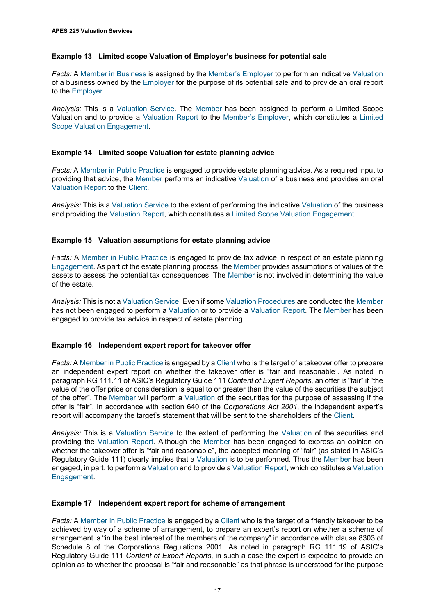#### <span id="page-16-0"></span>**Example 13 Limited scope Valuation of Employer's business for potential sale**

*Facts:* A Member in Business is assigned by the Member's Employer to perform an indicative Valuation of a business owned by the Employer for the purpose of its potential sale and to provide an oral report to the Employer.

*Analysis:* This is a Valuation Service. The Member has been assigned to perform a Limited Scope Valuation and to provide a Valuation Report to the Member's Employer, which constitutes a Limited Scope Valuation Engagement.

#### **Example 14 Limited scope Valuation for estate planning advice**

*Facts:* A Member in Public Practice is engaged to provide estate planning advice. As a required input to providing that advice, the Member performs an indicative Valuation of a business and provides an oral Valuation Report to the Client.

*Analysis:* This is a Valuation Service to the extent of performing the indicative Valuation of the business and providing the Valuation Report, which constitutes a Limited Scope Valuation Engagement.

#### **Example 15 Valuation assumptions for estate planning advice**

*Facts:* A Member in Public Practice is engaged to provide tax advice in respect of an estate planning Engagement. As part of the estate planning process, the Member provides assumptions of values of the assets to assess the potential tax consequences. The Member is not involved in determining the value of the estate.

*Analysis:* This is not a Valuation Service. Even if some Valuation Procedures are conducted the Member has not been engaged to perform a Valuation or to provide a Valuation Report. The Member has been engaged to provide tax advice in respect of estate planning.

#### **Example 16 Independent expert report for takeover offer**

*Facts:* A Member in Public Practice is engaged by a Client who is the target of a takeover offer to prepare an independent expert report on whether the takeover offer is "fair and reasonable". As noted in paragraph RG 111.11 of ASIC's Regulatory Guide 111 *Content of Expert Reports*, an offer is "fair" if "the value of the offer price or consideration is equal to or greater than the value of the securities the subject of the offer". The Member will perform a Valuation of the securities for the purpose of assessing if the offer is "fair". In accordance with section 640 of the *[Corporations Act 2001](https://www.legislation.gov.au/Details/C2019C00216)*, the independent expert's report will accompany the target's statement that will be sent to the shareholders of the Client.

*Analysis:* This is a Valuation Service to the extent of performing the Valuation of the securities and providing the Valuation Report. Although the Member has been engaged to express an opinion on whether the takeover offer is "fair and reasonable", the accepted meaning of "fair" (as stated in ASIC's Regulatory Guide 111) clearly implies that a Valuation is to be performed. Thus the Member has been engaged, in part, to perform a Valuation and to provide a Valuation Report, which constitutes a Valuation Engagement.

#### **Example 17 Independent expert report for scheme of arrangement**

*Facts:* A Member in Public Practice is engaged by a Client who is the target of a friendly takeover to be achieved by way of a scheme of arrangement, to prepare an expert's report on whether a scheme of arrangement is "in the best interest of the members of the company" in accordance with clause 8303 of Schedule 8 of the [Corporations Regulations 2001.](https://www.legislation.gov.au/Details/C2019C00216) As noted in paragraph RG 111.19 of ASIC's Regulatory Guide 111 *Content of Expert Reports*, in such a case the expert is expected to provide an opinion as to whether the proposal is "fair and reasonable" as that phrase is understood for the purpose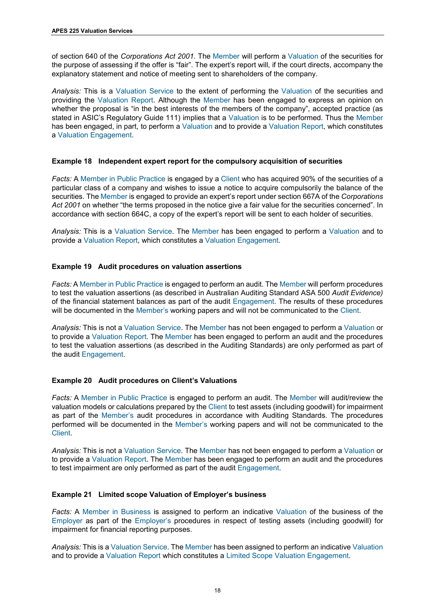<span id="page-17-0"></span>of section 640 of the *[Corporations Act 2001](https://www.legislation.gov.au/Details/C2019C00216)*. The Member will perform a Valuation of the securities for the purpose of assessing if the offer is "fair". The expert's report will, if the court directs, accompany the explanatory statement and notice of meeting sent to shareholders of the company.

*Analysis:* This is a Valuation Service to the extent of performing the Valuation of the securities and providing the Valuation Report. Although the Member has been engaged to express an opinion on whether the proposal is "in the best interests of the members of the company", accepted practice (as stated in ASIC's Regulatory Guide 111) implies that a Valuation is to be performed. Thus the Member has been engaged, in part, to perform a Valuation and to provide a Valuation Report, which constitutes a Valuation Engagement.

#### **Example 18 Independent expert report for the compulsory acquisition of securities**

*Facts:* A Member in Public Practice is engaged by a Client who has acquired 90% of the securities of a particular class of a company and wishes to issue a notice to acquire compulsorily the balance of the securities. The Member is engaged to provide an expert's report under section 667A of the *[Corporations](https://www.legislation.gov.au/latest/C2019C00185) Act 2001* on whether "the terms proposed in the notice give a fair value for the securities concerned". In accordance with section 664C, a copy of the expert's report will be sent to each holder of securities.

*Analysis:* This is a Valuation Service. The Member has been engaged to perform a Valuation and to provide a Valuation Report, which constitutes a Valuation Engagement.

#### **Example 19 Audit procedures on valuation assertions**

*Facts:* A Member in Public Practice is engaged to perform an audit. The Member will perform procedures to test the valuation assertions (as described in [Australian Auditing Standard ASA 500](https://www.auasb.gov.au/) *Audit Evidence)* of the financial statement balances as part of the audit Engagement. The results of these procedures will be documented in the Member's working papers and will not be communicated to the Client.

*Analysis:* This is not a Valuation Service. The Member has not been engaged to perform a Valuation or to provide a Valuation Report. The Member has been engaged to perform an audit and the procedures to test the valuation assertions (as described in the Auditing Standards) are only performed as part of the audit Engagement.

#### **Example 20 Audit procedures on Client's Valuations**

*Facts:* A Member in Public Practice is engaged to perform an audit. The Member will audit/review the valuation models or calculations prepared by the Client to test assets (including goodwill) for impairment as part of the Member's audit procedures in accordance with Auditing Standards. The procedures performed will be documented in the Member's working papers and will not be communicated to the Client.

*Analysis:* This is not a Valuation Service. The Member has not been engaged to perform a Valuation or to provide a Valuation Report. The Member has been engaged to perform an audit and the procedures to test impairment are only performed as part of the audit Engagement.

#### **Example 21 Limited scope Valuation of Employer's business**

*Facts:* A Member in Business is assigned to perform an indicative Valuation of the business of the Employer as part of the Employer's procedures in respect of testing assets (including goodwill) for impairment for financial reporting purposes.

*Analysis:* This is a Valuation Service. The Member has been assigned to perform an indicative Valuation and to provide a Valuation Report which constitutes a Limited Scope Valuation Engagement.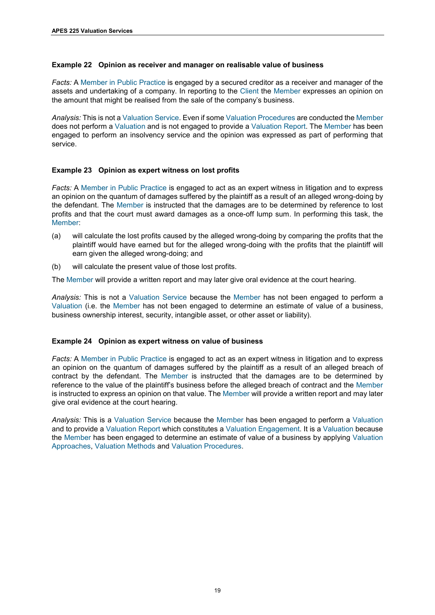#### <span id="page-18-0"></span>**Example 22 Opinion as receiver and manager on realisable value of business**

*Facts:* A Member in Public Practice is engaged by a secured creditor as a receiver and manager of the assets and undertaking of a company. In reporting to the Client the Member expresses an opinion on the amount that might be realised from the sale of the company's business.

*Analysis:* This is not a Valuation Service. Even if some Valuation Procedures are conducted the Member does not perform a Valuation and is not engaged to provide a Valuation Report. The Member has been engaged to perform an insolvency service and the opinion was expressed as part of performing that service.

#### **Example 23 Opinion as expert witness on lost profits**

*Facts:* A Member in Public Practice is engaged to act as an expert witness in litigation and to express an opinion on the quantum of damages suffered by the plaintiff as a result of an alleged wrong-doing by the defendant. The Member is instructed that the damages are to be determined by reference to lost profits and that the court must award damages as a once-off lump sum. In performing this task, the Member:

- (a) will calculate the lost profits caused by the alleged wrong-doing by comparing the profits that the plaintiff would have earned but for the alleged wrong-doing with the profits that the plaintiff will earn given the alleged wrong-doing; and
- (b) will calculate the present value of those lost profits.

The Member will provide a written report and may later give oral evidence at the court hearing.

*Analysis:* This is not a Valuation Service because the Member has not been engaged to perform a Valuation (i.e. the Member has not been engaged to determine an estimate of value of a business, business ownership interest, security, intangible asset, or other asset or liability).

#### **Example 24 Opinion as expert witness on value of business**

*Facts:* A Member in Public Practice is engaged to act as an expert witness in litigation and to express an opinion on the quantum of damages suffered by the plaintiff as a result of an alleged breach of contract by the defendant. The Member is instructed that the damages are to be determined by reference to the value of the plaintiff's business before the alleged breach of contract and the Member is instructed to express an opinion on that value. The Member will provide a written report and may later give oral evidence at the court hearing.

*Analysis:* This is a Valuation Service because the Member has been engaged to perform a Valuation and to provide a Valuation Report which constitutes a Valuation Engagement. It is a Valuation because the Member has been engaged to determine an estimate of value of a business by applying Valuation Approaches, Valuation Methods and Valuation Procedures.